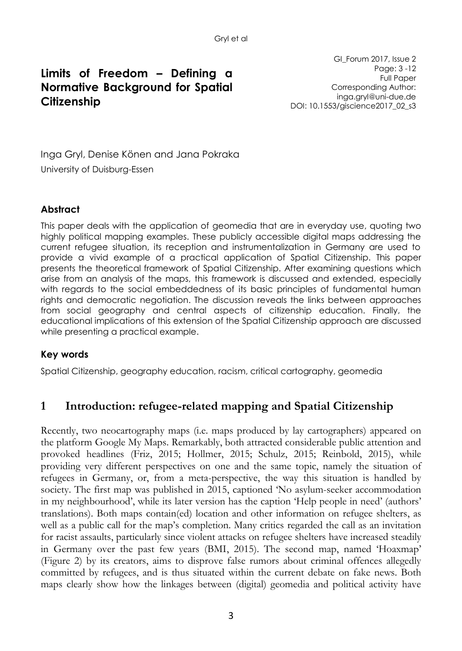# **Limits of Freedom – Defining a Normative Background for Spatial Citizenship**

GI\_Forum 2017, Issue 2 Page: 3 -12 Full Paper Corresponding Author: inga.gryl@uni-due.de DOI: 10.1553/giscience2017\_02\_s3

Inga Gryl, Denise Könen and Jana Pokraka University of Duisburg-Essen

#### **Abstract**

This paper deals with the application of geomedia that are in everyday use, quoting two highly political mapping examples. These publicly accessible digital maps addressing the current refugee situation, its reception and instrumentalization in Germany are used to provide a vivid example of a practical application of Spatial Citizenship. This paper presents the theoretical framework of Spatial Citizenship. After examining questions which arise from an analysis of the maps, this framework is discussed and extended, especially with regards to the social embeddedness of its basic principles of fundamental human rights and democratic negotiation. The discussion reveals the links between approaches from social geography and central aspects of citizenship education. Finally, the educational implications of this extension of the Spatial Citizenship approach are discussed while presenting a practical example.

#### **Key words**

Spatial Citizenship, geography education, racism, critical cartography, geomedia

### **1 Introduction: refugee-related mapping and Spatial Citizenship**

Recently, two neocartography maps (i.e. maps produced by lay cartographers) appeared on the platform Google My Maps. Remarkably, both attracted considerable public attention and provoked headlines (Friz, 2015; Hollmer, 2015; Schulz, 2015; Reinbold, 2015), while providing very different perspectives on one and the same topic, namely the situation of refugees in Germany, or, from a meta-perspective, the way this situation is handled by society. The first map was published in 2015, captioned 'No asylum-seeker accommodation in my neighbourhood', while its later version has the caption 'Help people in need' (authors' translations). Both maps contain(ed) location and other information on refugee shelters, as well as a public call for the map's completion. Many critics regarded the call as an invitation for racist assaults, particularly since violent attacks on refugee shelters have increased steadily in Germany over the past few years (BMI, 2015). The second map, named 'Hoaxmap' (Figure 2) by its creators, aims to disprove false rumors about criminal offences allegedly committed by refugees, and is thus situated within the current debate on fake news. Both maps clearly show how the linkages between (digital) geomedia and political activity have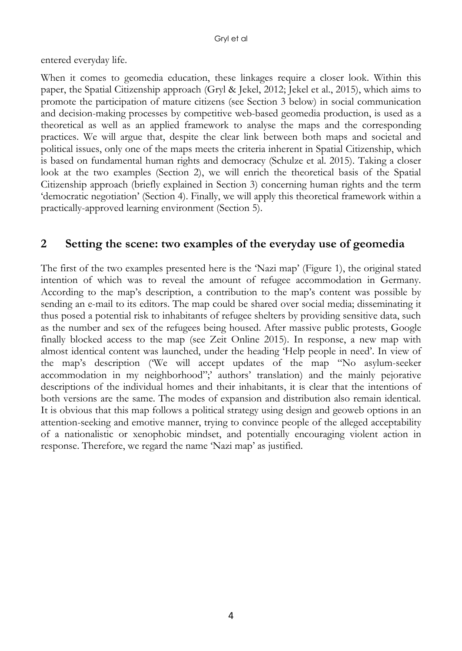entered everyday life.

When it comes to geomedia education, these linkages require a closer look. Within this paper, the Spatial Citizenship approach (Gryl & Jekel, 2012; Jekel et al., 2015), which aims to promote the participation of mature citizens (see Section 3 below) in social communication and decision-making processes by competitive web-based geomedia production, is used as a theoretical as well as an applied framework to analyse the maps and the corresponding practices. We will argue that, despite the clear link between both maps and societal and political issues, only one of the maps meets the criteria inherent in Spatial Citizenship, which is based on fundamental human rights and democracy (Schulze et al. 2015). Taking a closer look at the two examples (Section 2), we will enrich the theoretical basis of the Spatial Citizenship approach (briefly explained in Section 3) concerning human rights and the term 'democratic negotiation' (Section 4). Finally, we will apply this theoretical framework within a practically-approved learning environment (Section 5).

### **2 Setting the scene: two examples of the everyday use of geomedia**

The first of the two examples presented here is the 'Nazi map' (Figure 1), the original stated intention of which was to reveal the amount of refugee accommodation in Germany. According to the map's description, a contribution to the map's content was possible by sending an e-mail to its editors. The map could be shared over social media; disseminating it thus posed a potential risk to inhabitants of refugee shelters by providing sensitive data, such as the number and sex of the refugees being housed. After massive public protests, Google finally blocked access to the map (see Zeit Online 2015). In response, a new map with almost identical content was launched, under the heading 'Help people in need'. In view of the map's description ('We will accept updates of the map "No asylum-seeker accommodation in my neighborhood";' authors' translation) and the mainly pejorative descriptions of the individual homes and their inhabitants, it is clear that the intentions of both versions are the same. The modes of expansion and distribution also remain identical. It is obvious that this map follows a political strategy using design and geoweb options in an attention-seeking and emotive manner, trying to convince people of the alleged acceptability of a nationalistic or xenophobic mindset, and potentially encouraging violent action in response. Therefore, we regard the name 'Nazi map' as justified.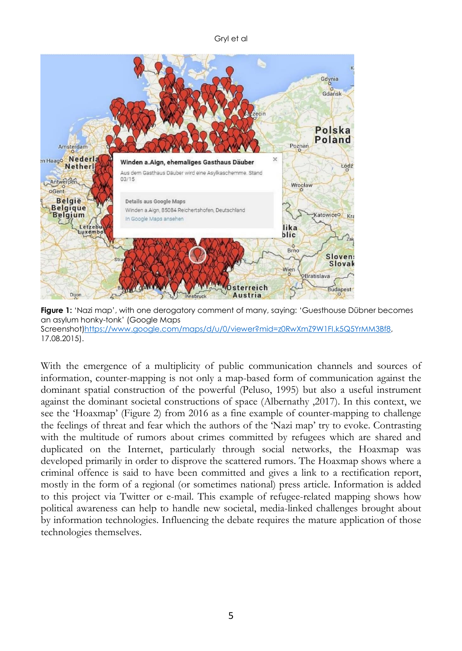Gryl et al



**Figure 1:** 'Nazi map', with one derogatory comment of many, saying: 'Guesthouse Dübner becomes an asylum honky-tonk' (Google Maps Screenshot[\)https://www.google.com/maps/d/u/0/viewer?mid=z0RwXmZ9W1FI.k5Q5YrMM3Bf8,](https://www.google.com/maps/d/u/0/viewer?mid=z0RwXmZ9W1FI.k5Q5YrMM3Bf8) 17.08.2015).

With the emergence of a multiplicity of public communication channels and sources of information, counter-mapping is not only a map-based form of communication against the dominant spatial construction of the powerful (Peluso, 1995) but also a useful instrument against the dominant societal constructions of space (Albernathy ,2017). In this context, we see the 'Hoaxmap' (Figure 2) from 2016 as a fine example of counter-mapping to challenge the feelings of threat and fear which the authors of the 'Nazi map' try to evoke. Contrasting with the multitude of rumors about crimes committed by refugees which are shared and duplicated on the Internet, particularly through social networks, the Hoaxmap was developed primarily in order to disprove the scattered rumors. The Hoaxmap shows where a criminal offence is said to have been committed and gives a link to a rectification report, mostly in the form of a regional (or sometimes national) press article. Information is added to this project via Twitter or e-mail. This example of refugee-related mapping shows how political awareness can help to handle new societal, media-linked challenges brought about by information technologies. Influencing the debate requires the mature application of those technologies themselves.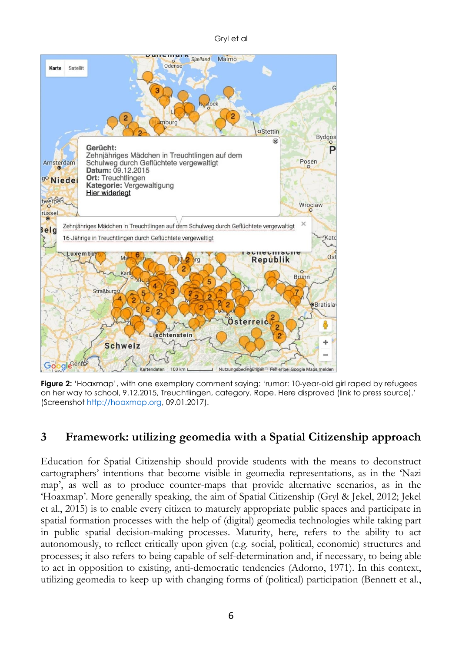Gryl et al



**Figure 2:** 'Hoaxmap', with one exemplary comment saying: 'rumor: 10-year-old girl raped by refugees on her way to school, 9.12.2015, Treuchtlingen, category. Rape. Here disproved (link to press source).' (Screenshot [http://hoaxmap.org,](http://hoaxmap.org/) 09.01.2017).

## **3 Framework: utilizing geomedia with a Spatial Citizenship approach**

Education for Spatial Citizenship should provide students with the means to deconstruct cartographers' intentions that become visible in geomedia representations, as in the 'Nazi map', as well as to produce counter-maps that provide alternative scenarios, as in the 'Hoaxmap'. More generally speaking, the aim of Spatial Citizenship (Gryl & Jekel, 2012; Jekel et al., 2015) is to enable every citizen to maturely appropriate public spaces and participate in spatial formation processes with the help of (digital) geomedia technologies while taking part in public spatial decision-making processes. Maturity, here, refers to the ability to act autonomously, to reflect critically upon given (e.g. social, political, economic) structures and processes; it also refers to being capable of self-determination and, if necessary, to being able to act in opposition to existing, anti-democratic tendencies (Adorno, 1971). In this context, utilizing geomedia to keep up with changing forms of (political) participation (Bennett et al.,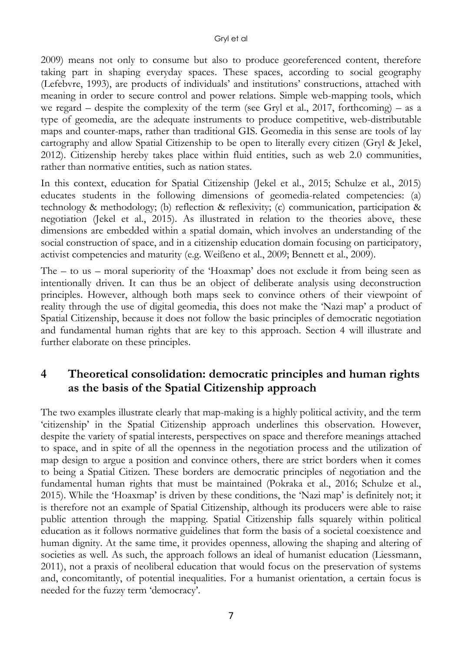2009) means not only to consume but also to produce georeferenced content, therefore taking part in shaping everyday spaces. These spaces, according to social geography (Lefebvre, 1993), are products of individuals' and institutions' constructions, attached with meaning in order to secure control and power relations. Simple web-mapping tools, which we regard – despite the complexity of the term (see Gryl et al., 2017, forthcoming) – as a type of geomedia, are the adequate instruments to produce competitive, web-distributable maps and counter-maps, rather than traditional GIS. Geomedia in this sense are tools of lay cartography and allow Spatial Citizenship to be open to literally every citizen (Gryl & Jekel, 2012). Citizenship hereby takes place within fluid entities, such as web 2.0 communities, rather than normative entities, such as nation states.

In this context, education for Spatial Citizenship (Jekel et al., 2015; Schulze et al., 2015) educates students in the following dimensions of geomedia-related competencies: (a) technology & methodology; (b) reflection & reflexivity; (c) communication, participation & negotiation (Jekel et al., 2015). As illustrated in relation to the theories above, these dimensions are embedded within a spatial domain, which involves an understanding of the social construction of space, and in a citizenship education domain focusing on participatory, activist competencies and maturity (e.g. Weißeno et al., 2009; Bennett et al., 2009).

The – to us – moral superiority of the 'Hoaxmap' does not exclude it from being seen as intentionally driven. It can thus be an object of deliberate analysis using deconstruction principles. However, although both maps seek to convince others of their viewpoint of reality through the use of digital geomedia, this does not make the 'Nazi map' a product of Spatial Citizenship, because it does not follow the basic principles of democratic negotiation and fundamental human rights that are key to this approach. Section 4 will illustrate and further elaborate on these principles.

# **4 Theoretical consolidation: democratic principles and human rights as the basis of the Spatial Citizenship approach**

The two examples illustrate clearly that map-making is a highly political activity, and the term 'citizenship' in the Spatial Citizenship approach underlines this observation. However, despite the variety of spatial interests, perspectives on space and therefore meanings attached to space, and in spite of all the openness in the negotiation process and the utilization of map design to argue a position and convince others, there are strict borders when it comes to being a Spatial Citizen. These borders are democratic principles of negotiation and the fundamental human rights that must be maintained (Pokraka et al., 2016; Schulze et al., 2015). While the 'Hoaxmap' is driven by these conditions, the 'Nazi map' is definitely not; it is therefore not an example of Spatial Citizenship, although its producers were able to raise public attention through the mapping. Spatial Citizenship falls squarely within political education as it follows normative guidelines that form the basis of a societal coexistence and human dignity. At the same time, it provides openness, allowing the shaping and altering of societies as well. As such, the approach follows an ideal of humanist education (Liessmann, 2011), not a praxis of neoliberal education that would focus on the preservation of systems and, concomitantly, of potential inequalities. For a humanist orientation, a certain focus is needed for the fuzzy term 'democracy'.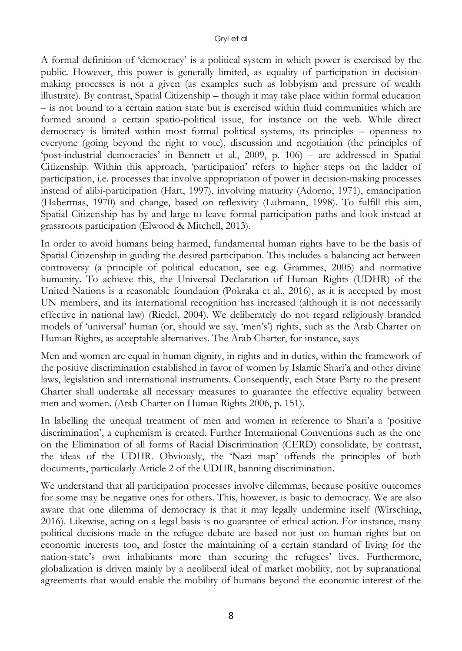A formal definition of 'democracy' is a political system in which power is exercised by the public. However, this power is generally limited, as equality of participation in decisionmaking processes is not a given (as examples such as lobbyism and pressure of wealth illustrate). By contrast, Spatial Citizenship – though it may take place within formal education – is not bound to a certain nation state but is exercised within fluid communities which are formed around a certain spatio-political issue, for instance on the web. While direct democracy is limited within most formal political systems, its principles – openness to everyone (going beyond the right to vote), discussion and negotiation (the principles of 'post-industrial democracies' in Bennett et al., 2009, p. 106) – are addressed in Spatial Citizenship. Within this approach, 'participation' refers to higher steps on the ladder of participation, i.e. processes that involve appropriation of power in decision-making processes instead of alibi-participation (Hart, 1997), involving maturity (Adorno, 1971), emancipation (Habermas, 1970) and change, based on reflexivity (Luhmann, 1998). To fulfill this aim, Spatial Citizenship has by and large to leave formal participation paths and look instead at grassroots participation (Elwood & Mitchell, 2013).

In order to avoid humans being harmed, fundamental human rights have to be the basis of Spatial Citizenship in guiding the desired participation. This includes a balancing act between controversy (a principle of political education, see e.g. Grammes, 2005) and normative humanity. To achieve this, the Universal Declaration of Human Rights (UDHR) of the United Nations is a reasonable foundation (Pokraka et al., 2016), as it is accepted by most UN members, and its international recognition has increased (although it is not necessarily effective in national law) (Riedel, 2004). We deliberately do not regard religiously branded models of 'universal' human (or, should we say, 'men's') rights, such as the Arab Charter on Human Rights, as acceptable alternatives. The Arab Charter, for instance, says

Men and women are equal in human dignity, in rights and in duties, within the framework of the positive discrimination established in favor of women by Islamic Shari'a and other divine laws, legislation and international instruments. Consequently, each State Party to the present Charter shall undertake all necessary measures to guarantee the effective equality between men and women. (Arab Charter on Human Rights 2006, p. 151).

In labelling the unequal treatment of men and women in reference to Shari'a a 'positive discrimination', a euphemism is created. Further International Conventions such as the one on the Elimination of all forms of Racial Discrimination (CERD) consolidate, by contrast, the ideas of the UDHR. Obviously, the 'Nazi map' offends the principles of both documents, particularly Article 2 of the UDHR, banning discrimination.

We understand that all participation processes involve dilemmas, because positive outcomes for some may be negative ones for others. This, however, is basic to democracy. We are also aware that one dilemma of democracy is that it may legally undermine itself (Wirsching, 2016). Likewise, acting on a legal basis is no guarantee of ethical action. For instance, many political decisions made in the refugee debate are based not just on human rights but on economic interests too, and foster the maintaining of a certain standard of living for the nation-state's own inhabitants more than securing the refugees' lives. Furthermore, globalization is driven mainly by a neoliberal ideal of market mobility, not by supranational agreements that would enable the mobility of humans beyond the economic interest of the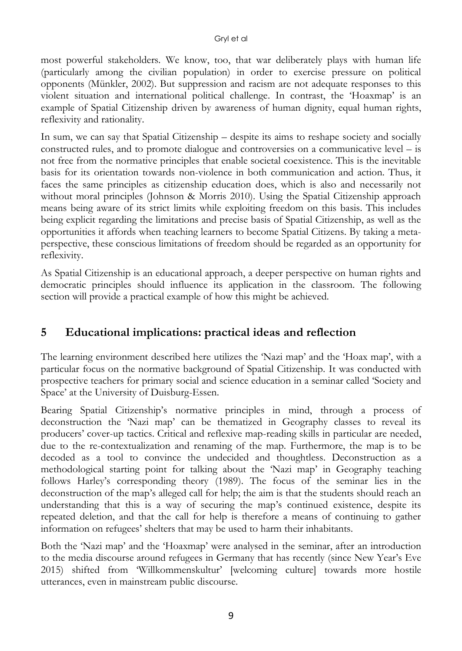most powerful stakeholders. We know, too, that war deliberately plays with human life (particularly among the civilian population) in order to exercise pressure on political opponents (Münkler, 2002). But suppression and racism are not adequate responses to this violent situation and international political challenge. In contrast, the 'Hoaxmap' is an example of Spatial Citizenship driven by awareness of human dignity, equal human rights, reflexivity and rationality.

In sum, we can say that Spatial Citizenship – despite its aims to reshape society and socially constructed rules, and to promote dialogue and controversies on a communicative level – is not free from the normative principles that enable societal coexistence. This is the inevitable basis for its orientation towards non-violence in both communication and action. Thus, it faces the same principles as citizenship education does, which is also and necessarily not without moral principles (Johnson & Morris 2010). Using the Spatial Citizenship approach means being aware of its strict limits while exploiting freedom on this basis. This includes being explicit regarding the limitations and precise basis of Spatial Citizenship, as well as the opportunities it affords when teaching learners to become Spatial Citizens. By taking a metaperspective, these conscious limitations of freedom should be regarded as an opportunity for reflexivity.

As Spatial Citizenship is an educational approach, a deeper perspective on human rights and democratic principles should influence its application in the classroom. The following section will provide a practical example of how this might be achieved.

## **5 Educational implications: practical ideas and reflection**

The learning environment described here utilizes the 'Nazi map' and the 'Hoax map', with a particular focus on the normative background of Spatial Citizenship. It was conducted with prospective teachers for primary social and science education in a seminar called 'Society and Space' at the University of Duisburg-Essen.

Bearing Spatial Citizenship's normative principles in mind, through a process of deconstruction the 'Nazi map' can be thematized in Geography classes to reveal its producers' cover-up tactics. Critical and reflexive map-reading skills in particular are needed, due to the re-contextualization and renaming of the map. Furthermore, the map is to be decoded as a tool to convince the undecided and thoughtless. Deconstruction as a methodological starting point for talking about the 'Nazi map' in Geography teaching follows Harley's corresponding theory (1989). The focus of the seminar lies in the deconstruction of the map's alleged call for help; the aim is that the students should reach an understanding that this is a way of securing the map's continued existence, despite its repeated deletion, and that the call for help is therefore a means of continuing to gather information on refugees' shelters that may be used to harm their inhabitants.

Both the 'Nazi map' and the 'Hoaxmap' were analysed in the seminar, after an introduction to the media discourse around refugees in Germany that has recently (since New Year's Eve 2015) shifted from 'Willkommenskultur' [welcoming culture] towards more hostile utterances, even in mainstream public discourse.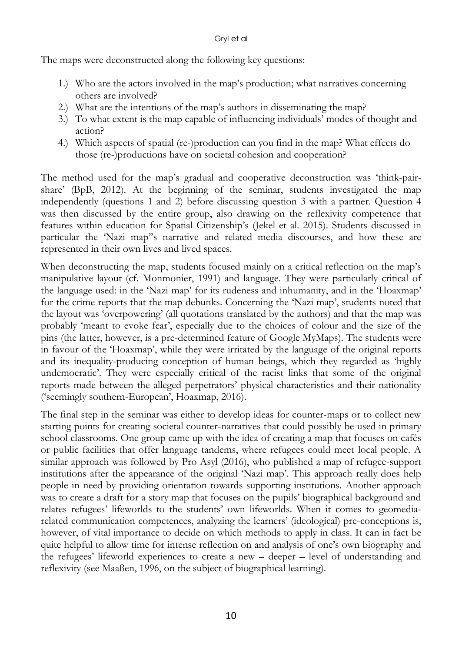#### Gryl et al

The maps were deconstructed along the following key questions:

- 1.) Who are the actors involved in the map's production; what narratives concerning others are involved?
- 2.) What are the intentions of the map's authors in disseminating the map?
- 3.) To what extent is the map capable of influencing individuals' modes of thought and action?
- 4.) Which aspects of spatial (re-)production can you find in the map? What effects do those (re-)productions have on societal cohesion and cooperation?

The method used for the map's gradual and cooperative deconstruction was 'think-pairshare' (BpB, 2012). At the beginning of the seminar, students investigated the map independently (questions 1 and 2) before discussing question 3 with a partner. Question 4 was then discussed by the entire group, also drawing on the reflexivity competence that features within education for Spatial Citizenship's (Jekel et al. 2015). Students discussed in particular the 'Nazi map''s narrative and related media discourses, and how these are represented in their own lives and lived spaces.

When deconstructing the map, students focused mainly on a critical reflection on the map's manipulative layout (cf. Monmonier, 1991) and language. They were particularly critical of the language used: in the 'Nazi map' for its rudeness and inhumanity, and in the 'Hoaxmap' for the crime reports that the map debunks. Concerning the 'Nazi map', students noted that the layout was 'overpowering' (all quotations translated by the authors) and that the map was probably 'meant to evoke fear', especially due to the choices of colour and the size of the pins (the latter, however, is a pre-determined feature of Google MyMaps). The students were in favour of the 'Hoaxmap', while they were irritated by the language of the original reports and its inequality-producing conception of human beings, which they regarded as 'highly undemocratic'. They were especially critical of the racist links that some of the original reports made between the alleged perpetrators' physical characteristics and their nationality ('seemingly southern-European', Hoaxmap, 2016).

The final step in the seminar was either to develop ideas for counter-maps or to collect new starting points for creating societal counter-narratives that could possibly be used in primary school classrooms. One group came up with the idea of creating a map that focuses on cafés or public facilities that offer language tandems, where refugees could meet local people. A similar approach was followed by Pro Asyl (2016), who published a map of refugee-support institutions after the appearance of the original 'Nazi map'. This approach really does help people in need by providing orientation towards supporting institutions. Another approach was to create a draft for a story map that focuses on the pupils' biographical background and relates refugees' lifeworlds to the students' own lifeworlds. When it comes to geomediarelated communication competences, analyzing the learners' (ideological) pre-conceptions is, however, of vital importance to decide on which methods to apply in class. It can in fact be quite helpful to allow time for intense reflection on and analysis of one's own biography and the refugees' lifeworld experiences to create a new – deeper – level of understanding and reflexivity (see Maaßen, 1996, on the subject of biographical learning).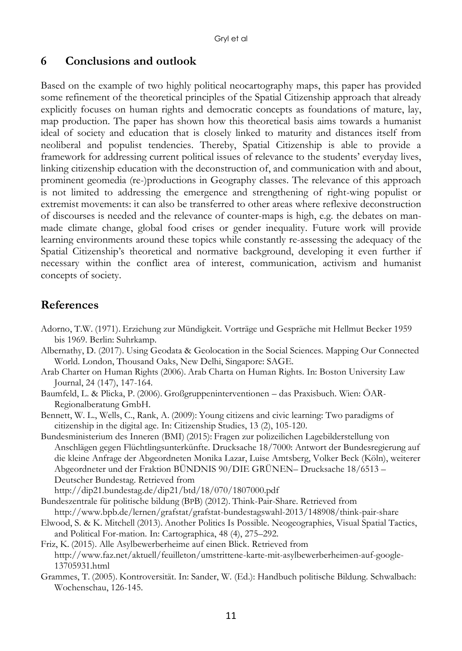### **6 Conclusions and outlook**

Based on the example of two highly political neocartography maps, this paper has provided some refinement of the theoretical principles of the Spatial Citizenship approach that already explicitly focuses on human rights and democratic concepts as foundations of mature, lay, map production. The paper has shown how this theoretical basis aims towards a humanist ideal of society and education that is closely linked to maturity and distances itself from neoliberal and populist tendencies. Thereby, Spatial Citizenship is able to provide a framework for addressing current political issues of relevance to the students' everyday lives, linking citizenship education with the deconstruction of, and communication with and about, prominent geomedia (re-)productions in Geography classes. The relevance of this approach is not limited to addressing the emergence and strengthening of right-wing populist or extremist movements: it can also be transferred to other areas where reflexive deconstruction of discourses is needed and the relevance of counter-maps is high, e.g. the debates on manmade climate change, global food crises or gender inequality. Future work will provide learning environments around these topics while constantly re-assessing the adequacy of the Spatial Citizenship's theoretical and normative background, developing it even further if necessary within the conflict area of interest, communication, activism and humanist concepts of society.

## **References**

- Adorno, T.W. (1971). Erziehung zur Mündigkeit. Vorträge und Gespräche mit Hellmut Becker 1959 bis 1969. Berlin: Suhrkamp.
- Albernathy, D. (2017). Using Geodata & Geolocation in the Social Sciences. Mapping Our Connected World. London, Thousand Oaks, New Delhi, Singapore: SAGE.
- Arab Charter on Human Rights (2006). Arab Charta on Human Rights. In: Boston University Law Journal, 24 (147), 147-164.
- Baumfeld, L. & Plicka, P. (2006). Großgruppeninterventionen das Praxisbuch. Wien: ÖAR*-*Regionalberatung GmbH.
- Bennett, W. L., Wells, C., Rank, A. (2009): Young citizens and civic learning: Two paradigms of citizenship in the digital age. In: Citizenship Studies, 13 (2), 105-120.
- Bundesministerium des Inneren (BMI) (2015): Fragen zur polizeilichen Lagebilderstellung von Anschlägen gegen Flüchtlingsunterkünfte. Drucksache 18/7000: Antwort der Bundesregierung auf die kleine Anfrage der Abgeordneten Monika Lazar, Luise Amtsberg, Volker Beck (Köln), weiterer Abgeordneter und der Fraktion BÜNDNIS 90/DIE GRÜNEN– Drucksache 18/6513 – Deutscher Bundestag. Retrieved from
	- http://dip21.bundestag.de/dip21/btd/18/070/1807000.pdf
- Bundeszentrale für politische bildung (BPB) (2012). Think-Pair-Share. Retrieved from http://www.bpb.de/lernen/grafstat/grafstat-bundestagswahl-2013/148908/think-pair-share
- Elwood, S. & K. Mitchell (2013). Another Politics Is Possible. Neogeographies, Visual Spatial Tactics, and Political For-mation. In: Cartographica, 48 (4), 275–292.
- Friz, K. (2015). Alle Asylbewerberheime auf einen Blick. Retrieved from http://www.faz.net/aktuell/feuilleton/umstrittene-karte-mit-asylbewerberheimen-auf-google-13705931.html
- Grammes, T. (2005). Kontroversität. In: Sander, W. (Ed.): Handbuch politische Bildung. Schwalbach: Wochenschau, 126-145.